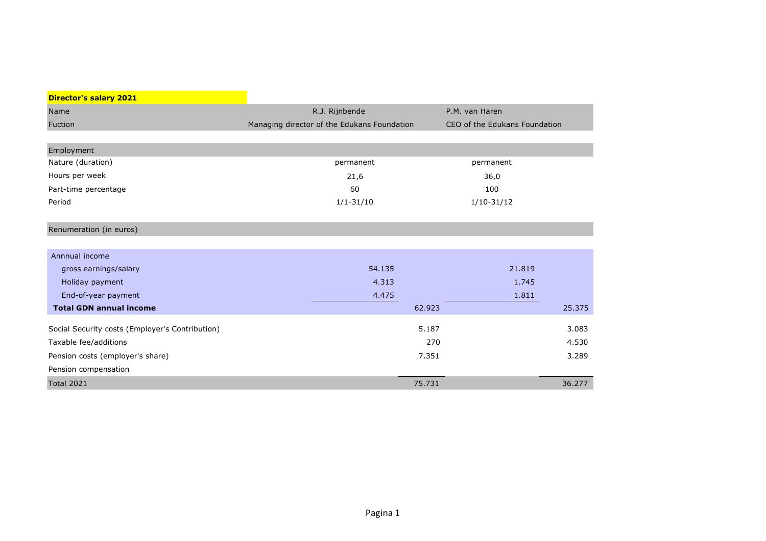| <b>Director's salary 2021</b>                   |                                             |                               |        |
|-------------------------------------------------|---------------------------------------------|-------------------------------|--------|
| Name                                            | R.J. Rijnbende                              | P.M. van Haren                |        |
| Fuction                                         | Managing director of the Edukans Foundation | CEO of the Edukans Foundation |        |
|                                                 |                                             |                               |        |
| Employment                                      |                                             |                               |        |
| Nature (duration)                               | permanent                                   | permanent                     |        |
| Hours per week                                  | 21,6                                        | 36,0                          |        |
| Part-time percentage                            | 60                                          | 100                           |        |
| Period                                          | $1/1 - 31/10$                               | $1/10-31/12$                  |        |
|                                                 |                                             |                               |        |
| Renumeration (in euros)                         |                                             |                               |        |
|                                                 |                                             |                               |        |
| Annnual income                                  |                                             |                               |        |
| gross earnings/salary                           | 54.135                                      | 21.819                        |        |
| Holiday payment                                 | 4.313                                       | 1.745                         |        |
| End-of-year payment                             | 4.475                                       | 1.811                         |        |
| <b>Total GDN annual income</b>                  |                                             | 62.923                        | 25.375 |
|                                                 |                                             | 5.187                         | 3.083  |
| Social Security costs (Employer's Contribution) |                                             |                               |        |
| Taxable fee/additions                           |                                             | 270                           | 4.530  |
| Pension costs (employer's share)                |                                             | 7.351                         | 3.289  |
| Pension compensation                            |                                             |                               |        |
| <b>Total 2021</b>                               | 75.731                                      |                               | 36.277 |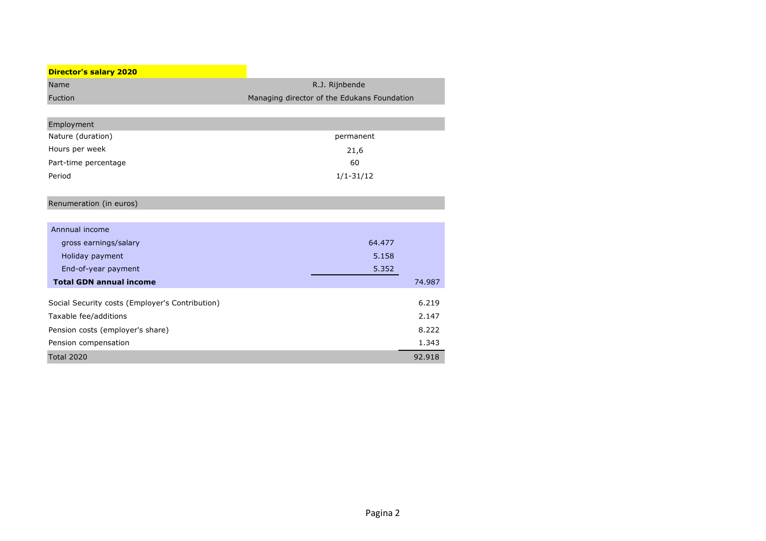| <b>Director's salary 2020</b>                   |                                             |        |
|-------------------------------------------------|---------------------------------------------|--------|
| Name                                            | R.J. Rijnbende                              |        |
| Fuction                                         | Managing director of the Edukans Foundation |        |
|                                                 |                                             |        |
| Employment                                      |                                             |        |
| Nature (duration)                               | permanent                                   |        |
| Hours per week                                  | 21,6                                        |        |
| Part-time percentage                            | 60                                          |        |
| Period                                          | $1/1 - 31/12$                               |        |
|                                                 |                                             |        |
| Renumeration (in euros)                         |                                             |        |
|                                                 |                                             |        |
| Annnual income                                  |                                             |        |
| gross earnings/salary                           | 64.477                                      |        |
| Holiday payment                                 | 5.158                                       |        |
| End-of-year payment                             | 5.352                                       |        |
| <b>Total GDN annual income</b>                  |                                             | 74.987 |
|                                                 |                                             | 6.219  |
| Social Security costs (Employer's Contribution) |                                             |        |
| Taxable fee/additions                           |                                             | 2.147  |
| Pension costs (employer's share)                |                                             | 8.222  |
| Pension compensation                            |                                             | 1.343  |
| <b>Total 2020</b>                               |                                             | 92.918 |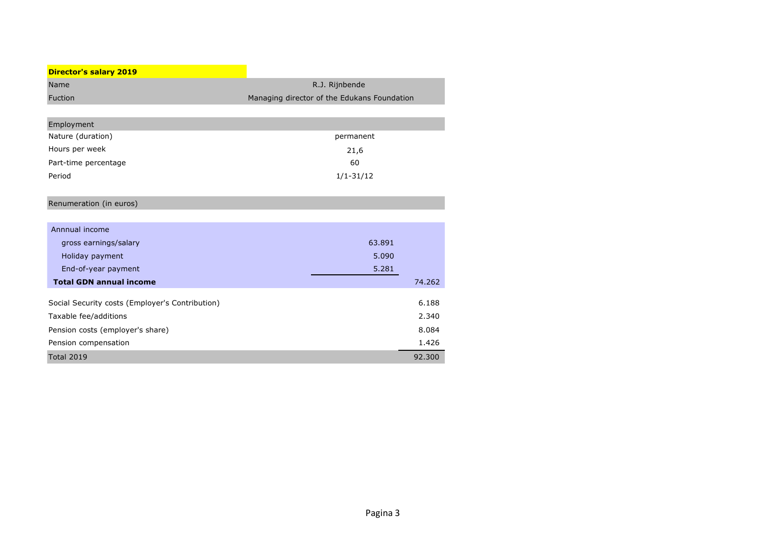| <b>Director's salary 2019</b>                   |                                             |        |
|-------------------------------------------------|---------------------------------------------|--------|
| Name                                            | R.J. Rijnbende                              |        |
| Fuction                                         | Managing director of the Edukans Foundation |        |
|                                                 |                                             |        |
| Employment                                      |                                             |        |
| Nature (duration)                               | permanent                                   |        |
| Hours per week                                  | 21,6                                        |        |
| Part-time percentage                            | 60                                          |        |
| Period                                          | $1/1 - 31/12$                               |        |
|                                                 |                                             |        |
| Renumeration (in euros)                         |                                             |        |
|                                                 |                                             |        |
| Annnual income                                  |                                             |        |
| gross earnings/salary                           | 63.891                                      |        |
| Holiday payment                                 | 5.090                                       |        |
| End-of-year payment                             | 5.281                                       |        |
| <b>Total GDN annual income</b>                  |                                             | 74.262 |
|                                                 |                                             | 6.188  |
| Social Security costs (Employer's Contribution) |                                             |        |
| Taxable fee/additions                           |                                             | 2.340  |
| Pension costs (employer's share)                |                                             | 8.084  |
| Pension compensation                            |                                             | 1.426  |
| <b>Total 2019</b>                               |                                             | 92.300 |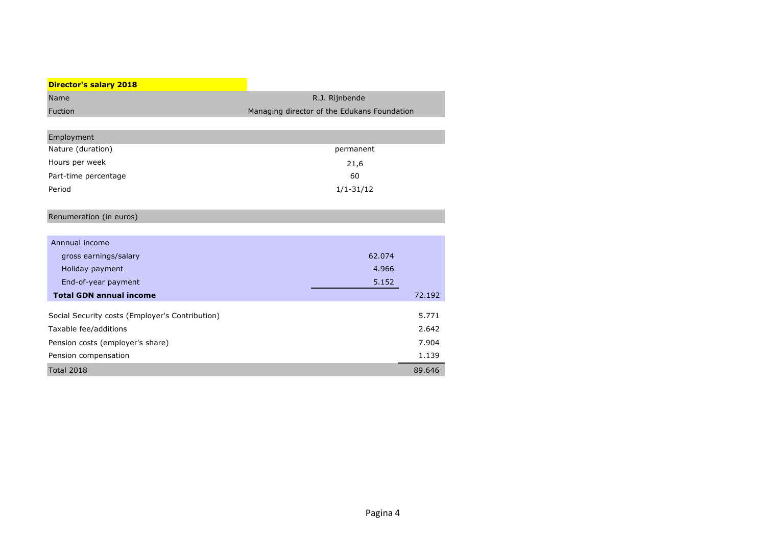| Name           | R.J. Rijnbende                              |
|----------------|---------------------------------------------|
| <b>Fuction</b> | Managing director of the Edukans Foundation |

| Employment           |               |
|----------------------|---------------|
| Nature (duration)    | permanent     |
| Hours per week       | 21,6          |
| Part-time percentage | 60            |
| Period               | $1/1 - 31/12$ |

# Renumeration (in euros)

| Annnual income                                  |        |        |
|-------------------------------------------------|--------|--------|
| gross earnings/salary                           | 62.074 |        |
| Holiday payment                                 | 4.966  |        |
| End-of-year payment                             | 5.152  |        |
| <b>Total GDN annual income</b>                  |        | 72.192 |
| Social Security costs (Employer's Contribution) |        | 5.771  |
| Taxable fee/additions                           |        | 2.642  |
| Pension costs (employer's share)                |        | 7.904  |
| Pension compensation                            |        | 1.139  |
| <b>Total 2018</b>                               |        | 89.646 |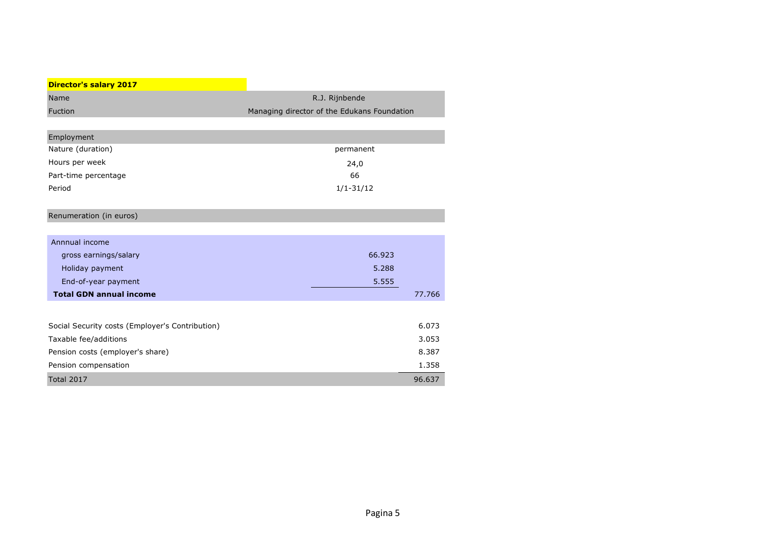| Name           | R.J. Riinbende                              |
|----------------|---------------------------------------------|
| <b>Fuction</b> | Managing director of the Edukans Foundation |

| Employment           |               |
|----------------------|---------------|
| Nature (duration)    | permanent     |
| Hours per week       | 24,0          |
| Part-time percentage | 66            |
| Period               | $1/1 - 31/12$ |

## Renumeration (in euros)

| Annnual income                 |        |        |
|--------------------------------|--------|--------|
| gross earnings/salary          | 66,923 |        |
| Holiday payment                | 5.288  |        |
| End-of-year payment            | 5.555  |        |
| <b>Total GDN annual income</b> |        | 77.766 |
|                                |        |        |
| .                              |        |        |

| Social Security costs (Employer's Contribution) | 6.073  |
|-------------------------------------------------|--------|
| Taxable fee/additions                           | 3.053  |
| Pension costs (employer's share)                | 8.387  |
| Pension compensation                            | 1.358  |
| Total 2017                                      | 96.637 |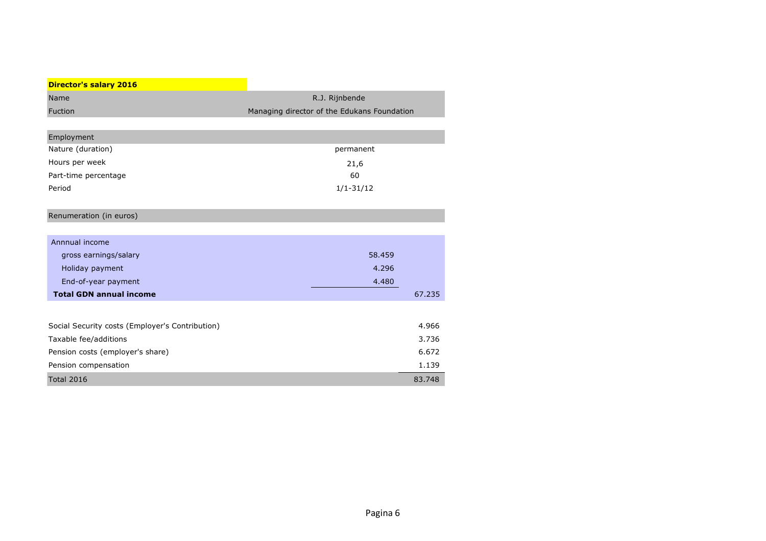| Name           | R.J. Riinbende                              |
|----------------|---------------------------------------------|
| <b>Fuction</b> | Managing director of the Edukans Foundation |

| Employment           |               |
|----------------------|---------------|
| Nature (duration)    | permanent     |
| Hours per week       | 21,6          |
| Part-time percentage | 60            |
| Period               | $1/1 - 31/12$ |

## Renumeration (in euros)

| Annnual income                 |        |        |
|--------------------------------|--------|--------|
| gross earnings/salary          | 58,459 |        |
| Holiday payment                | 4.296  |        |
| End-of-year payment            | 4.480  |        |
| <b>Total GDN annual income</b> |        | 67.235 |

| Social Security costs (Employer's Contribution) | 4.966  |
|-------------------------------------------------|--------|
| Taxable fee/additions                           | 3.736  |
| Pension costs (employer's share)                | 6.672  |
| Pension compensation                            | 1.139  |
| <b>Total 2016</b>                               | 83.748 |